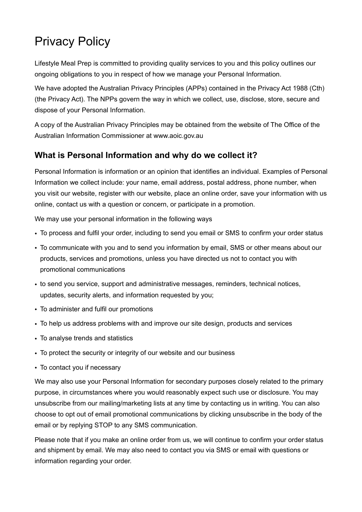# Privacy Policy

Lifestyle Meal Prep is committed to providing quality services to you and this policy outlines our ongoing obligations to you in respect of how we manage your Personal Information.

We have adopted the Australian Privacy Principles (APPs) contained in the Privacy Act 1988 (Cth) (the Privacy Act). The NPPs govern the way in which we collect, use, disclose, store, secure and dispose of your Personal Information.

A copy of the Australian Privacy Principles may be obtained from the website of The Office of the Australian Information Commissioner at www.aoic.gov.au

#### **What is Personal Information and why do we collect it?**

Personal Information is information or an opinion that identifies an individual. Examples of Personal Information we collect include: your name, email address, postal address, phone number, when you visit our website, register with our website, place an online order, save your information with us online, contact us with a question or concern, or participate in a promotion.

We may use your personal information in the following ways

- To process and fulfil your order, including to send you email or SMS to confirm your order status
- To communicate with you and to send you information by email, SMS or other means about our products, services and promotions, unless you have directed us not to contact you with promotional communications
- to send you service, support and administrative messages, reminders, technical notices, updates, security alerts, and information requested by you;
- To administer and fulfil our promotions
- To help us address problems with and improve our site design, products and services
- To analyse trends and statistics
- To protect the security or integrity of our website and our business
- To contact you if necessary

We may also use your Personal Information for secondary purposes closely related to the primary purpose, in circumstances where you would reasonably expect such use or disclosure. You may unsubscribe from our mailing/marketing lists at any time by contacting us in writing. You can also choose to opt out of email promotional communications by clicking unsubscribe in the body of the email or by replying STOP to any SMS communication.

Please note that if you make an online order from us, we will continue to confirm your order status and shipment by email. We may also need to contact you via SMS or email with questions or information regarding your order.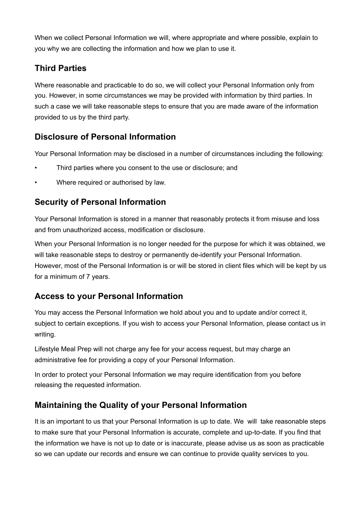When we collect Personal Information we will, where appropriate and where possible, explain to you why we are collecting the information and how we plan to use it.

## **Third Parties**

Where reasonable and practicable to do so, we will collect your Personal Information only from you. However, in some circumstances we may be provided with information by third parties. In such a case we will take reasonable steps to ensure that you are made aware of the information provided to us by the third party.

#### **Disclosure of Personal Information**

Your Personal Information may be disclosed in a number of circumstances including the following:

- Third parties where you consent to the use or disclosure; and
- Where required or authorised by law.

#### **Security of Personal Information**

Your Personal Information is stored in a manner that reasonably protects it from misuse and loss and from unauthorized access, modification or disclosure.

When your Personal Information is no longer needed for the purpose for which it was obtained, we will take reasonable steps to destroy or permanently de-identify your Personal Information. However, most of the Personal Information is or will be stored in client files which will be kept by us for a minimum of 7 years.

## **Access to your Personal Information**

You may access the Personal Information we hold about you and to update and/or correct it, subject to certain exceptions. If you wish to access your Personal Information, please contact us in writing.

Lifestyle Meal Prep will not charge any fee for your access request, but may charge an administrative fee for providing a copy of your Personal Information.

In order to protect your Personal Information we may require identification from you before releasing the requested information.

#### **Maintaining the Quality of your Personal Information**

It is an important to us that your Personal Information is up to date. We will take reasonable steps to make sure that your Personal Information is accurate, complete and up-to-date. If you find that the information we have is not up to date or is inaccurate, please advise us as soon as practicable so we can update our records and ensure we can continue to provide quality services to you.